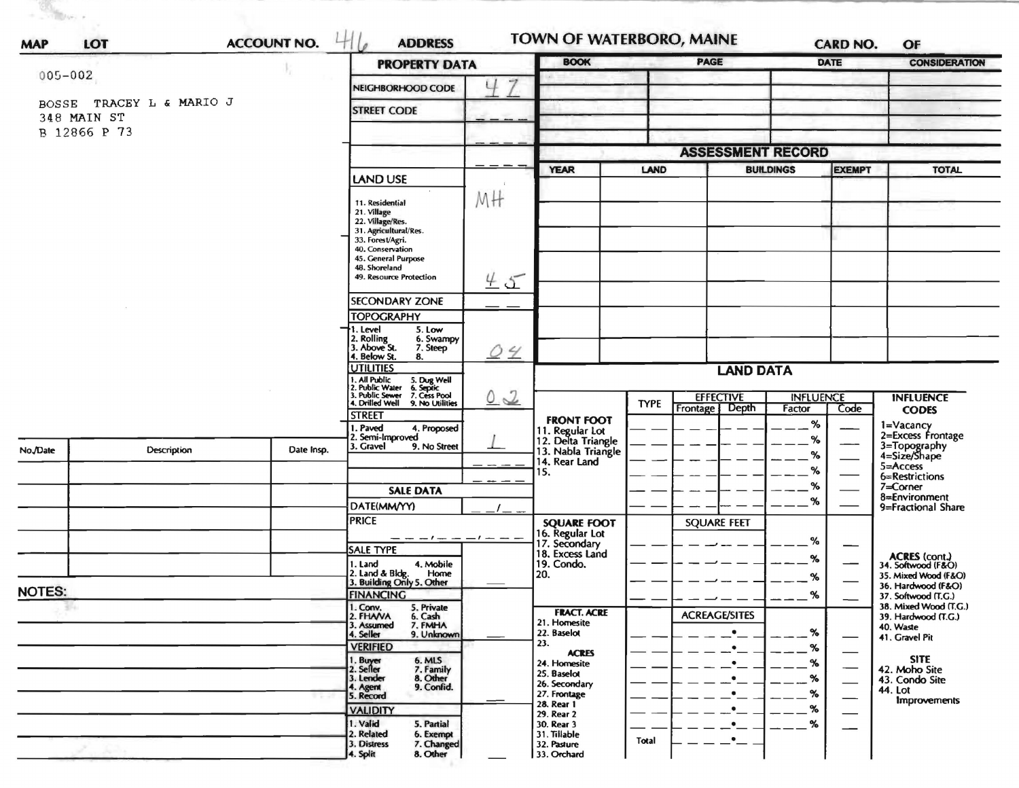|                     | LOT                | <b>ACCOUNT NO.</b> | <b>ADDRESS</b>                                                                                                             |                            |                                                           |             | <b>TOWN OF WATERBORO, MAINE</b> |                  | <b>CARD NO.</b>                                                                                     | OF                                                                                                                                                                                                                                               |
|---------------------|--------------------|--------------------|----------------------------------------------------------------------------------------------------------------------------|----------------------------|-----------------------------------------------------------|-------------|---------------------------------|------------------|-----------------------------------------------------------------------------------------------------|--------------------------------------------------------------------------------------------------------------------------------------------------------------------------------------------------------------------------------------------------|
| <b>MAP</b>          |                    |                    | <b>PROPERTY DATA</b>                                                                                                       | <b>BOOK</b><br><b>PAGE</b> |                                                           |             | DATE                            |                  | <b>CONSIDERATION</b>                                                                                |                                                                                                                                                                                                                                                  |
| $005 - 002$         |                    |                    | NEIGHBORHOOD CODE                                                                                                          | 7                          |                                                           |             |                                 |                  | <b>EXEMPT</b><br><b>INFLUENCE</b><br>Code<br>%<br>%<br>$\%$<br>%<br>$\%$<br>%<br>%<br>%<br>$\alpha$ |                                                                                                                                                                                                                                                  |
| <b>BOSSE</b>        | TRACEY L & MARIO J |                    | <b>STREET CODE</b>                                                                                                         |                            |                                                           |             |                                 |                  |                                                                                                     |                                                                                                                                                                                                                                                  |
| 348 MAIN ST         |                    |                    |                                                                                                                            |                            |                                                           |             |                                 |                  |                                                                                                     |                                                                                                                                                                                                                                                  |
| B 12866 P 73        |                    |                    |                                                                                                                            |                            |                                                           |             |                                 |                  |                                                                                                     |                                                                                                                                                                                                                                                  |
|                     |                    |                    |                                                                                                                            |                            |                                                           |             | <b>ASSESSMENT RECORD</b>        |                  |                                                                                                     |                                                                                                                                                                                                                                                  |
|                     |                    |                    | LAND USE                                                                                                                   |                            | <b>YEAR</b>                                               | <b>LAND</b> |                                 | <b>BUILDINGS</b> |                                                                                                     | <b>TOTAL</b>                                                                                                                                                                                                                                     |
|                     |                    |                    | 11. Residential                                                                                                            | MH                         |                                                           |             |                                 |                  |                                                                                                     |                                                                                                                                                                                                                                                  |
|                     |                    |                    | 21. Village<br>22. Village/Res.                                                                                            |                            |                                                           |             |                                 |                  |                                                                                                     |                                                                                                                                                                                                                                                  |
|                     |                    |                    | 31. Agricultural/Res.<br>33. Forest/Agri.                                                                                  |                            |                                                           |             |                                 |                  |                                                                                                     |                                                                                                                                                                                                                                                  |
|                     |                    |                    | 40. Conservation<br>45. General Purpose                                                                                    |                            |                                                           |             |                                 |                  |                                                                                                     |                                                                                                                                                                                                                                                  |
|                     |                    |                    | 48. Shoreland<br>49. Resource Protection                                                                                   |                            |                                                           |             |                                 |                  |                                                                                                     |                                                                                                                                                                                                                                                  |
|                     |                    |                    |                                                                                                                            | 45                         |                                                           |             |                                 |                  |                                                                                                     |                                                                                                                                                                                                                                                  |
|                     |                    |                    | <b>SECONDARY ZONE</b>                                                                                                      |                            |                                                           |             |                                 |                  |                                                                                                     |                                                                                                                                                                                                                                                  |
|                     |                    |                    | <b>TOPOGRAPHY</b><br>1. Level<br>5. Low                                                                                    |                            |                                                           |             |                                 |                  |                                                                                                     |                                                                                                                                                                                                                                                  |
|                     |                    |                    | 2. Rolling<br>3. Above St.<br>6. Swampy<br>7. Steep                                                                        |                            |                                                           |             |                                 |                  |                                                                                                     |                                                                                                                                                                                                                                                  |
|                     |                    |                    | 4. Below St.<br>8.<br><b>UTILITIES</b>                                                                                     | <u>04</u>                  |                                                           |             |                                 |                  |                                                                                                     |                                                                                                                                                                                                                                                  |
|                     |                    |                    |                                                                                                                            |                            | <b>LAND DATA</b>                                          |             |                                 |                  |                                                                                                     |                                                                                                                                                                                                                                                  |
|                     |                    |                    | 1. All Public 5. Dug Well<br>12. Public Water 6. Septic<br>3. Public Sewer 7. Cess Pool<br>4. Drilled Well 9. No Utilities | $\sqrt{2}$<br>O.           | <b>FRONT FOOT</b>                                         | <b>TYPE</b> | <b>EFFECTIVE</b>                |                  |                                                                                                     | <b>INFLUENCE</b>                                                                                                                                                                                                                                 |
|                     |                    |                    | <b>STREET</b>                                                                                                              |                            |                                                           |             | Depth<br><b>Frontage</b>        | Factor           |                                                                                                     |                                                                                                                                                                                                                                                  |
|                     |                    |                    | . Paved<br>4. Proposed<br>2. Semi-Improved                                                                                 |                            | 11. Regular Lot                                           |             |                                 |                  |                                                                                                     |                                                                                                                                                                                                                                                  |
| No./Date            | Description        | Date Insp.         | 3. Gravel<br>9. No Street                                                                                                  |                            | 12. Delta Triangle<br>13. Nabla Triangle<br>14. Rear Land |             |                                 |                  |                                                                                                     |                                                                                                                                                                                                                                                  |
|                     |                    |                    |                                                                                                                            | $\cdots$                   | 15.                                                       |             |                                 |                  |                                                                                                     | 6=Restrictions                                                                                                                                                                                                                                   |
|                     |                    |                    | <b>SALE DATA</b>                                                                                                           |                            |                                                           |             |                                 |                  |                                                                                                     | $7 =$ Corner                                                                                                                                                                                                                                     |
|                     |                    |                    | DATE(MM/YY)                                                                                                                |                            |                                                           |             |                                 |                  |                                                                                                     | 9=Fractional Share                                                                                                                                                                                                                               |
|                     |                    |                    | <b>PRICE</b>                                                                                                               |                            | <b>SQUARE FOOT</b>                                        |             | <b>SQUARE FEET</b>              |                  |                                                                                                     | <b>CODES</b><br>1=Vacancy<br>2=Excess Frontage<br>3=Topography<br>4=Size/Shape<br>5=Access<br>8=Environment<br>ACRES (cont.)<br>34. Softwood (F&O)<br>35. Mixed Wood (F&O)<br>36. Hardwood (F&O)<br>37. Softwood (T.G.)<br>38. Mixed Wood (T.G.) |
|                     |                    |                    | $- - - - - - - - - - -$<br>SALE TYPE                                                                                       |                            | 16. Regular Lot<br>17. Secondary<br>18. Excess Land       |             |                                 |                  |                                                                                                     |                                                                                                                                                                                                                                                  |
|                     |                    |                    | 4. Mobile<br>1. Land<br>2. Land & Bldg.                                                                                    |                            | 19. Condo.                                                |             |                                 |                  | 39. Hardwood (T.G.)<br>40. Waste<br>41. Gravel Pit                                                  |                                                                                                                                                                                                                                                  |
|                     |                    |                    | Home<br>3. Building Only 5. Other                                                                                          |                            | 20.                                                       |             |                                 |                  |                                                                                                     |                                                                                                                                                                                                                                                  |
| <b>NOTES:</b><br>94 |                    |                    | <b>FINANCING</b><br>1. Conv.<br>5. Private                                                                                 |                            |                                                           |             |                                 | %                |                                                                                                     |                                                                                                                                                                                                                                                  |
|                     |                    |                    | 2. FHANA<br>6. Cash<br>7. FMHA<br>3. Assumed                                                                               |                            | <b>FRACT. ACRE</b><br>21. Homesite                        |             | <b>ACREAGE/SITES</b>            |                  |                                                                                                     |                                                                                                                                                                                                                                                  |
|                     |                    |                    | 9. Unknown<br>4. Seller                                                                                                    |                            | 22. Baselot<br>23.                                        |             | $\bullet$                       | %                |                                                                                                     |                                                                                                                                                                                                                                                  |
|                     |                    |                    | <b>VERIFIED</b>                                                                                                            |                            | <b>ACRES</b><br>24. Homesite                              |             | ٠<br>۰                          | %<br>%           |                                                                                                     | <b>SITE</b>                                                                                                                                                                                                                                      |
|                     |                    |                    | 6. MLS<br>7. Family<br>1. Buyer<br>2. Seller<br>8. Other<br>3. Lender                                                      |                            | 25. Baselot                                               |             | $\bullet$                       | %                |                                                                                                     | 42. Moho Site<br>43. Condo Site                                                                                                                                                                                                                  |
|                     |                    |                    | 9. Confid.<br>4. Agent<br>5. Record                                                                                        |                            | 26. Secondary<br>27. Frontage                             |             | $\bullet$                       | %                |                                                                                                     | 44. Lot                                                                                                                                                                                                                                          |
|                     |                    |                    | <b>VALIDITY</b>                                                                                                            |                            | 28. Rear 1<br>29. Rear 2                                  |             | ٠                               | %                |                                                                                                     | <b>Improvements</b>                                                                                                                                                                                                                              |
|                     |                    |                    | 1. Valid<br>5. Partial<br>2. Related<br>6. Exempt                                                                          |                            | 30. Rear 3<br>31. Tillable                                |             | $\bullet$                       | %                |                                                                                                     |                                                                                                                                                                                                                                                  |
|                     |                    |                    | 3. Distress<br>7. Changed<br>8. Other<br>4. Split                                                                          |                            | 32. Pasture<br>33. Orchard                                | Total       | $\bullet$                       |                  |                                                                                                     |                                                                                                                                                                                                                                                  |